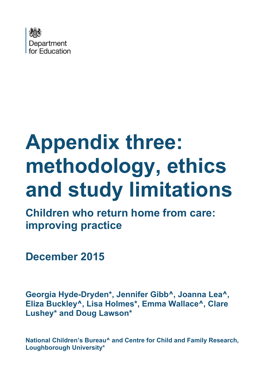

# **Appendix three: methodology, ethics and study limitations**

**Children who return home from care: improving practice**

**December 2015**

<span id="page-0-0"></span>**Georgia Hyde-Dryden\*, Jennifer Gibb^, Joanna Lea^, Eliza Buckley^, Lisa Holmes\*, Emma Wallace^, Clare Lushey\* and Doug Lawson\***

**National Children's Bureau^ and Centre for Child and Family Research, Loughborough University\***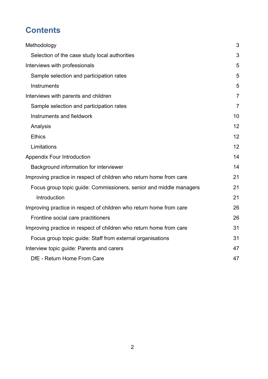# **Contents**

| Methodology                                                         | 3              |
|---------------------------------------------------------------------|----------------|
| Selection of the case study local authorities                       | 3              |
| Interviews with professionals                                       | 5              |
| Sample selection and participation rates                            | 5              |
| Instruments                                                         | 5              |
| Interviews with parents and children                                | $\overline{7}$ |
| Sample selection and participation rates                            | $\overline{7}$ |
| Instruments and fieldwork                                           | 10             |
| Analysis                                                            | 12             |
| <b>Ethics</b>                                                       | 12             |
| Limitations                                                         | 12             |
| <b>Appendix Four Introduction</b>                                   | 14             |
| Background information for interviewer                              | 14             |
| Improving practice in respect of children who return home from care | 21             |
| Focus group topic guide: Commissioners, senior and middle managers  | 21             |
| Introduction                                                        | 21             |
| Improving practice in respect of children who return home from care | 26             |
| Frontline social care practitioners                                 | 26             |
| Improving practice in respect of children who return home from care | 31             |
| Focus group topic guide: Staff from external organisations          | 31             |
| Interview topic guide: Parents and carers                           | 47             |
| DfE - Return Home From Care                                         | 47             |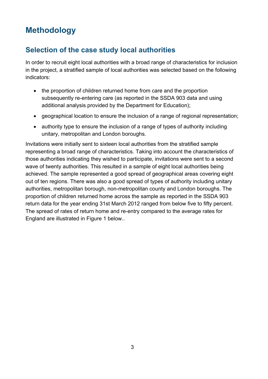# <span id="page-2-0"></span>**Methodology**

# <span id="page-2-1"></span>**Selection of the case study local authorities**

In order to recruit eight local authorities with a broad range of characteristics for inclusion in the project, a stratified sample of local authorities was selected based on the following indicators:

- the proportion of children returned home from care and the proportion subsequently re-entering care (as reported in the SSDA 903 data and using additional analysis provided by the Department for Education);
- geographical location to ensure the inclusion of a range of regional representation;
- authority type to ensure the inclusion of a range of types of authority including unitary, metropolitan and London boroughs.

Invitations were initially sent to sixteen local authorities from the stratified sample representing a broad range of characteristics. Taking into account the characteristics of those authorities indicating they wished to participate, invitations were sent to a second wave of twenty authorities. This resulted in a sample of eight local authorities being achieved. The sample represented a good spread of geographical areas covering eight out of ten regions. There was also a good spread of types of authority including unitary authorities, metropolitan borough, non-metropolitan county and London boroughs. The proportion of children returned home across the sample as reported in the SSDA 903 return data for the year ending 31st March 2012 ranged from below five to fifty percent. The spread of rates of return home and re-entry compared to the average rates for England are illustrated in Figure 1 below..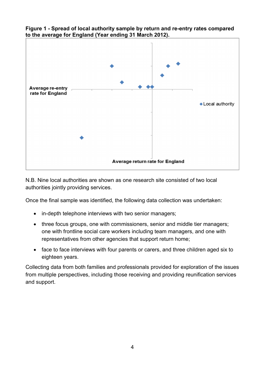

**Figure 1 - Spread of local authority sample by return and re-entry rates compared to the average for England (Year ending 31 March 2012).**

N.B. Nine local authorities are shown as one research site consisted of two local authorities jointly providing services.

Once the final sample was identified, the following data collection was undertaken:

- in-depth telephone interviews with two senior managers;
- three focus groups, one with commissioners, senior and middle tier managers; one with frontline social care workers including team managers, and one with representatives from other agencies that support return home;
- face to face interviews with four parents or carers, and three children aged six to eighteen years.

Collecting data from both families and professionals provided for exploration of the issues from multiple perspectives, including those receiving and providing reunification services and support.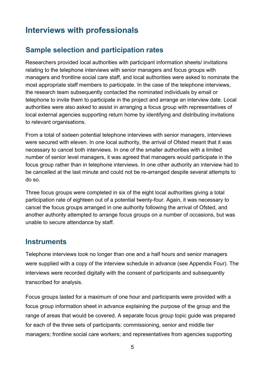# <span id="page-4-0"></span>**Interviews with professionals**

# <span id="page-4-1"></span>**Sample selection and participation rates**

Researchers provided local authorities with participant information sheets/ invitations relating to the telephone interviews with senior managers and focus groups with managers and frontline social care staff, and local authorities were asked to nominate the most appropriate staff members to participate. In the case of the telephone interviews, the research team subsequently contacted the nominated individuals by email or telephone to invite them to participate in the project and arrange an interview date. Local authorities were also asked to assist in arranging a focus group with representatives of local external agencies supporting return home by identifying and distributing invitations to relevant organisations.

From a total of sixteen potential telephone interviews with senior managers, interviews were secured with eleven. In one local authority, the arrival of Ofsted meant that it was necessary to cancel both interviews. In one of the smaller authorities with a limited number of senior level managers, it was agreed that managers would participate in the focus group rather than in telephone interviews. In one other authority an interview had to be cancelled at the last minute and could not be re-arranged despite several attempts to do so.

Three focus groups were completed in six of the eight local authorities giving a total participation rate of eighteen out of a potential twenty-four. Again, it was necessary to cancel the focus groups arranged in one authority following the arrival of Ofsted, and another authority attempted to arrange focus groups on a number of occasions, but was unable to secure attendance by staff.

# <span id="page-4-2"></span>**Instruments**

Telephone interviews took no longer than one and a half hours and senior managers were supplied with a copy of the interview schedule in advance (see Appendix Four). The interviews were recorded digitally with the consent of participants and subsequently transcribed for analysis.

Focus groups lasted for a maximum of one hour and participants were provided with a focus group information sheet in advance explaining the purpose of the group and the range of areas that would be covered. A separate focus group topic guide was prepared for each of the three sets of participants: commissioning, senior and middle tier managers; frontline social care workers; and representatives from agencies supporting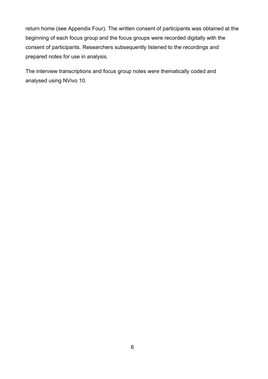return home (see Appendix Four). The written consent of participants was obtained at the beginning of each focus group and the focus groups were recorded digitally with the consent of participants. Researchers subsequently listened to the recordings and prepared notes for use in analysis.

The interview transcriptions and focus group notes were thematically coded and analysed using NVivo 10.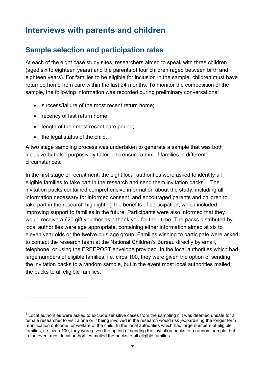# <span id="page-6-0"></span>**Interviews with parents and children**

# <span id="page-6-1"></span>**Sample selection and participation rates**

At each of the eight case study sites, researchers aimed to speak with three children (aged six to eighteen years) and the parents of four children (aged between birth and eighteen years). For families to be eligible for inclusion in the sample, children must have returned home from care within the last 24 months. To monitor the composition of the sample, the following information was recorded during preliminary conversations:

- success/failure of the most recent return home;
- recency of last return home:
- length of their most recent care period:
- the legal status of the child.

 $\overline{a}$ 

A two stage sampling process was undertaken to generate a sample that was both inclusive but also purposively tailored to ensure a mix of families in different circumstances.

In the first stage of recruitment, the eight local authorities were asked to identify all eligible families to take part in the research and send them invitation packs<sup>[1](#page-0-0)</sup>. The invitation packs contained comprehensive information about the study, including all information necessary for informed consent, and encouraged parents and children to take part in the research highlighting the benefits of participation, which included improving support to families in the future. Participants were also informed that they would receive a £20 gift voucher as a thank you for their time. The packs distributed by local authorities were age appropriate, containing either information aimed at six to eleven year olds or the twelve plus age group. Families wishing to participate were asked to contact the research team at the National Children's Bureau directly by email, telephone, or using the FREEPOST envelope provided. In the local authorities which had large numbers of eligible families, i.e. circa 100, they were given the option of sending the invitation packs to a random sample, but in the event most local authorities mailed the packs to all eligible families.

<span id="page-6-2"></span> $1$  Local authorities were asked to exclude sensitive cases from the sampling if it was deemed unsafe for a female researcher to visit alone or if being involved in the research would risk jeopardising the longer term reunification outcome, or welfare of the child. In the local authorities which had large numbers of eligible families, i.e. circa 100, they were given the option of sending the invitation packs to a random sample, but in the event most local authorities mailed the packs to all eligible families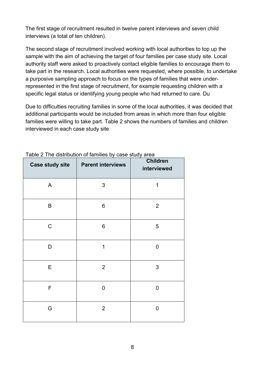The first stage of recruitment resulted in twelve parent interviews and seven child interviews (a total of ten children).

The second stage of recruitment involved working with local authorities to top up the sample with the aim of achieving the target of four families per case study site. Local authority staff were asked to proactively contact eligible families to encourage them to take part in the research. Local authorities were requested, where possible, to undertake a purposive sampling approach to focus on the types of families that were underrepresented in the first stage of recruitment, for example requesting children with a specific legal status or identifying young people who had returned to care. Du

Due to difficulties recruiting families in some of the local authorities, it was decided that additional participants would be included from areas in which more than four eligible families were willing to take part. Table 2 shows the numbers of families and children interviewed in each case study site

| <b>Case study site</b> | <b>Parent interviews</b> | <b>Children</b><br>interviewed |
|------------------------|--------------------------|--------------------------------|
| A                      | $\sqrt{3}$               | 1                              |
| B                      | 6                        | $\overline{2}$                 |
| $\mathsf C$            | 6                        | 5                              |
| D                      | 1                        | 0                              |
| E                      | $\overline{2}$           | $\mathfrak{S}$                 |
| $\mathsf F$            | 0                        | 0                              |
| G                      | $\overline{2}$           | 0                              |

#### Table 2 The distribution of families by case study area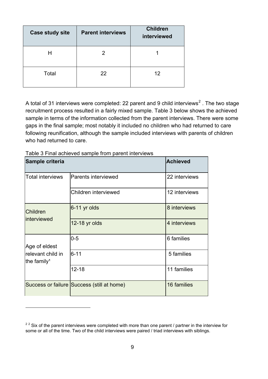| <b>Case study site</b> | <b>Parent interviews</b> | <b>Children</b><br>interviewed |
|------------------------|--------------------------|--------------------------------|
| Н                      | 2                        |                                |
| Total                  | 22                       | 12                             |

A total of 31 interviews were completed: [2](#page-6-2)2 parent and 9 child interviews<sup>2</sup>. The two stage recruitment process resulted in a fairly mixed sample. Table 3 below shows the achieved sample in terms of the information collected from the parent interviews. There were some gaps in the final sample; most notably it included no children who had returned to care following reunification, although the sample included interviews with parents of children who had returned to care.

| Sample criteria                                               |                                            | <b>Achieved</b> |
|---------------------------------------------------------------|--------------------------------------------|-----------------|
| <b>Total interviews</b>                                       | Parents interviewed                        | 22 interviews   |
|                                                               | Children interviewed                       | 12 interviews   |
| <b>Children</b><br>interviewed                                | 6-11 yr olds                               | 8 interviews    |
|                                                               | 12-18 yr olds                              | 4 interviews    |
| Age of eldest<br>relevant child in<br>the family <sup>1</sup> | $0 - 5$                                    | 6 families      |
|                                                               | $6 - 11$                                   | 5 families      |
|                                                               | $12 - 18$                                  | 11 families     |
|                                                               | Success or failure Success (still at home) | 16 families     |

Table 3 Final achieved sample from parent interviews

 $\overline{a}$ 

<sup>&</sup>lt;sup>22</sup> Six of the parent interviews were completed with more than one parent / partner in the interview for some or all of the time. Two of the child interviews were paired / triad interviews with siblings.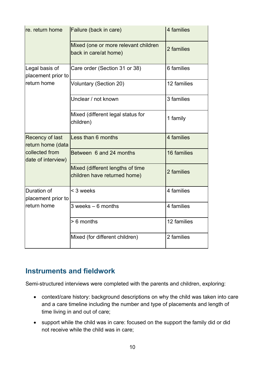| re. return home                                     | Failure (back in care)                                           | 4 families  |
|-----------------------------------------------------|------------------------------------------------------------------|-------------|
|                                                     | Mixed (one or more relevant children<br>back in care/at home)    | 2 families  |
| Legal basis of<br>placement prior to<br>return home | Care order (Section 31 or 38)                                    | 6 families  |
|                                                     | <b>Voluntary (Section 20)</b>                                    | 12 families |
|                                                     | Unclear / not known                                              | 3 families  |
|                                                     | Mixed (different legal status for<br>children)                   | 1 family    |
| Recency of last<br>return home (data                | Less than 6 months                                               | 4 families  |
| collected from<br>date of interview)                | Between 6 and 24 months                                          | 16 families |
|                                                     | Mixed (different lengths of time<br>children have returned home) | 2 families  |
| Duration of<br>placement prior to<br>return home    | < 3 weeks                                                        | 4 families  |
|                                                     | $3$ weeks $-6$ months                                            | 4 families  |
|                                                     | > 6 months                                                       | 12 families |
|                                                     | Mixed (for different children)                                   | 2 families  |

# <span id="page-9-0"></span>**Instruments and fieldwork**

Semi-structured interviews were completed with the parents and children, exploring:

- context/care history: background descriptions on why the child was taken into care and a care timeline including the number and type of placements and length of time living in and out of care;
- support while the child was in care: focused on the support the family did or did not receive while the child was in care;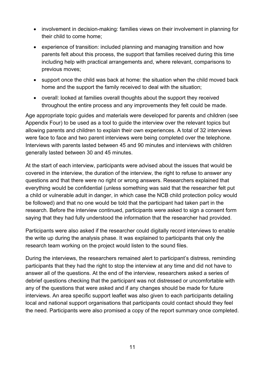- involvement in decision-making: families views on their involvement in planning for their child to come home;
- experience of transition: included planning and managing transition and how parents felt about this process, the support that families received during this time including help with practical arrangements and, where relevant, comparisons to previous moves;
- support once the child was back at home: the situation when the child moved back home and the support the family received to deal with the situation;
- overall: looked at families overall thoughts about the support they received throughout the entire process and any improvements they felt could be made.

Age appropriate topic guides and materials were developed for parents and children (see Appendix Four) to be used as a tool to guide the interview over the relevant topics but allowing parents and children to explain their own experiences. A total of 32 interviews were face to face and two parent interviews were being completed over the telephone. Interviews with parents lasted between 45 and 90 minutes and interviews with children generally lasted between 30 and 45 minutes.

At the start of each interview, participants were advised about the issues that would be covered in the interview, the duration of the interview, the right to refuse to answer any questions and that there were no right or wrong answers. Researchers explained that everything would be confidential (unless something was said that the researcher felt put a child or vulnerable adult in danger, in which case the NCB child protection policy would be followed) and that no one would be told that the participant had taken part in the research. Before the interview continued, participants were asked to sign a consent form saying that they had fully understood the information that the researcher had provided.

Participants were also asked if the researcher could digitally record interviews to enable the write up during the analysis phase. It was explained to participants that only the research team working on the project would listen to the sound files.

During the interviews, the researchers remained alert to participant's distress, reminding participants that they had the right to stop the interview at any time and did not have to answer all of the questions. At the end of the interview, researchers asked a series of debrief questions checking that the participant was not distressed or uncomfortable with any of the questions that were asked and if any changes should be made for future interviews. An area specific support leaflet was also given to each participants detailing local and national support organisations that participants could contact should they feel the need. Participants were also promised a copy of the report summary once completed.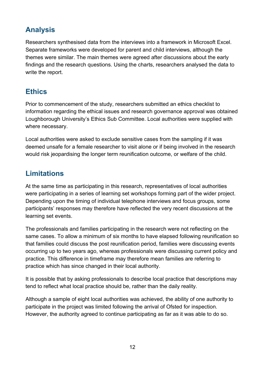# <span id="page-11-0"></span>**Analysis**

Researchers synthesised data from the interviews into a framework in Microsoft Excel. Separate frameworks were developed for parent and child interviews, although the themes were similar. The main themes were agreed after discussions about the early findings and the research questions. Using the charts, researchers analysed the data to write the report.

# <span id="page-11-1"></span>**Ethics**

Prior to commencement of the study, researchers submitted an ethics checklist to information regarding the ethical issues and research governance approval was obtained Loughborough University's Ethics Sub Committee. Local authorities were supplied with where necessary.

Local authorities were asked to exclude sensitive cases from the sampling if it was deemed unsafe for a female researcher to visit alone or if being involved in the research would risk jeopardising the longer term reunification outcome, or welfare of the child.

# <span id="page-11-2"></span>**Limitations**

At the same time as participating in this research, representatives of local authorities were participating in a series of learning set workshops forming part of the wider project. Depending upon the timing of individual telephone interviews and focus groups, some participants' responses may therefore have reflected the very recent discussions at the learning set events.

The professionals and families participating in the research were not reflecting on the same cases. To allow a minimum of six months to have elapsed following reunification so that families could discuss the post reunification period, families were discussing events occurring up to two years ago, whereas professionals were discussing current policy and practice. This difference in timeframe may therefore mean families are referring to practice which has since changed in their local authority.

It is possible that by asking professionals to describe local practice that descriptions may tend to reflect what local practice should be, rather than the daily reality.

Although a sample of eight local authorities was achieved, the ability of one authority to participate in the project was limited following the arrival of Ofsted for inspection. However, the authority agreed to continue participating as far as it was able to do so.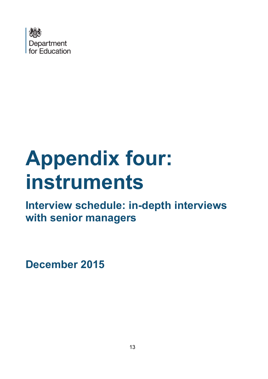

# **Appendix four: instruments**

**Interview schedule: in-depth interviews with senior managers**

**December 2015**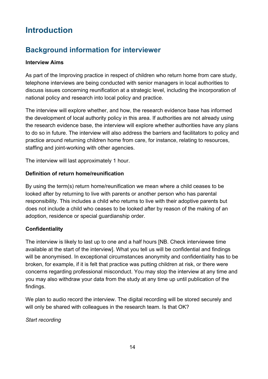# <span id="page-13-0"></span>**Introduction**

# <span id="page-13-1"></span>**Background information for interviewer**

#### **Interview Aims**

As part of the Improving practice in respect of children who return home from care study, telephone interviews are being conducted with senior managers in local authorities to discuss issues concerning reunification at a strategic level, including the incorporation of national policy and research into local policy and practice.

The interview will explore whether, and how, the research evidence base has informed the development of local authority policy in this area. If authorities are not already using the research evidence base, the interview will explore whether authorities have any plans to do so in future. The interview will also address the barriers and facilitators to policy and practice around returning children home from care, for instance, relating to resources, staffing and joint-working with other agencies.

The interview will last approximately 1 hour.

#### **Definition of return home/reunification**

By using the term(s) return home/reunification we mean where a child ceases to be looked after by returning to live with parents or another person who has parental responsibility. This includes a child who returns to live with their adoptive parents but does not include a child who ceases to be looked after by reason of the making of an adoption, residence or special guardianship order.

## **Confidentiality**

The interview is likely to last up to one and a half hours [NB. Check interviewee time available at the start of the interview]. What you tell us will be confidential and findings will be anonymised. In exceptional circumstances anonymity and confidentiality has to be broken, for example, if it is felt that practice was putting children at risk, or there were concerns regarding professional misconduct. You may stop the interview at any time and you may also withdraw your data from the study at any time up until publication of the findings.

We plan to audio record the interview. The digital recording will be stored securely and will only be shared with colleagues in the research team. Is that OK?

*Start recording*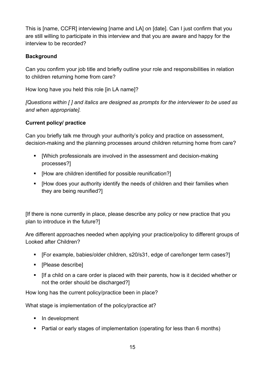This is [name, CCFR] interviewing [name and LA] on [date]. Can I just confirm that you are still willing to participate in this interview and that you are aware and happy for the interview to be recorded?

## **Background**

Can you confirm your job title and briefly outline your role and responsibilities in relation to children returning home from care?

How long have you held this role [in LA name]?

*[Questions within [ ] and italics are designed as prompts for the interviewer to be used as and when appropriate].*

## **Current policy/ practice**

Can you briefly talk me through your authority's policy and practice on assessment, decision-making and the planning processes around children returning home from care?

- [Which professionals are involved in the assessment and decision-making processes?]
- [How are children identified for possible reunification?]
- [How does your authority identify the needs of children and their families when they are being reunified?]

[If there is none currently in place, please describe any policy or new practice that you plan to introduce in the future?]

Are different approaches needed when applying your practice/policy to different groups of Looked after Children?

- [For example, babies/older children, s20/s31, edge of care/longer term cases?]
- [Please describe]
- [If a child on a care order is placed with their parents, how is it decided whether or not the order should be discharged?]

How long has the current policy/practice been in place?

What stage is implementation of the policy/practice at?

- **In development**
- Partial or early stages of implementation (operating for less than 6 months)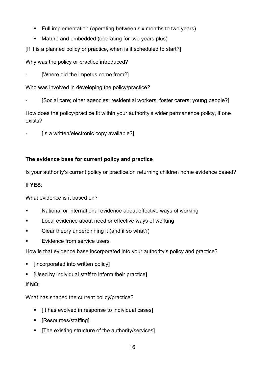- Full implementation (operating between six months to two years)
- Mature and embedded (operating for two years plus)

[If it is a planned policy or practice, when is it scheduled to start?]

Why was the policy or practice introduced?

[Where did the impetus come from?]

Who was involved in developing the policy/practice?

[Social care; other agencies; residential workers; foster carers; young people?]

How does the policy/practice fit within your authority's wider permanence policy, if one exists?

[Is a written/electronic copy available?]

## **The evidence base for current policy and practice**

Is your authority's current policy or practice on returning children home evidence based?

## If **YES**:

What evidence is it based on?

- **National or international evidence about effective ways of working**
- **Local evidence about need or effective ways of working**
- Clear theory underpinning it (and if so what?)
- Evidence from service users

How is that evidence base incorporated into your authority's policy and practice?

- **EXECUTE:** Incorporated into written policy
- [Used by individual staff to inform their practice]

## If **NO**:

What has shaped the current policy/practice?

- **If has evolved in response to individual cases]**
- [Resources/staffing]
- [The existing structure of the authority/services]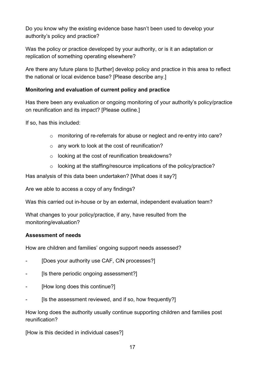Do you know why the existing evidence base hasn't been used to develop your authority's policy and practice?

Was the policy or practice developed by your authority, or is it an adaptation or replication of something operating elsewhere?

Are there any future plans to [further] develop policy and practice in this area to reflect the national or local evidence base? [Please describe any.]

## **Monitoring and evaluation of current policy and practice**

Has there been any evaluation or ongoing monitoring of your authority's policy/practice on reunification and its impact? [Please outline.]

If so, has this included:

- o monitoring of re-referrals for abuse or neglect and re-entry into care?
- o any work to look at the cost of reunification?
- o looking at the cost of reunification breakdowns?
- o looking at the staffing/resource implications of the policy/practice?

Has analysis of this data been undertaken? [What does it say?]

Are we able to access a copy of any findings?

Was this carried out in-house or by an external, independent evaluation team?

What changes to your policy/practice, if any, have resulted from the monitoring/evaluation?

#### **Assessment of needs**

How are children and families' ongoing support needs assessed?

- [Does your authority use CAF, CiN processes?]
- **Is there periodic ongoing assessment?**
- [How long does this continue?]
- [Is the assessment reviewed, and if so, how frequently?]

How long does the authority usually continue supporting children and families post reunification?

[How is this decided in individual cases?]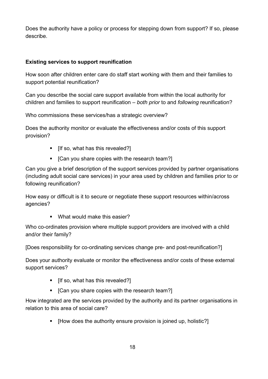Does the authority have a policy or process for stepping down from support? If so, please describe.

#### **Existing services to support reunification**

How soon after children enter care do staff start working with them and their families to support potential reunification?

Can you describe the social care support available from within the local authority for children and families to support reunification *– both prior* to and *following* reunification?

Who commissions these services/has a strategic overview?

Does the authority monitor or evaluate the effectiveness and/or costs of this support provision?

- [If so, what has this revealed?]
- [Can you share copies with the research team?]

Can you give a brief description of the support services provided by partner organisations (including adult social care services) in your area used by children and families prior to or following reunification?

How easy or difficult is it to secure or negotiate these support resources within/across agencies?

■ What would make this easier?

Who co-ordinates provision where multiple support providers are involved with a child and/or their family?

[Does responsibility for co-ordinating services change pre- and post-reunification?]

Does your authority evaluate or monitor the effectiveness and/or costs of these external support services?

- [If so, what has this revealed?]
- [Can you share copies with the research team?]

How integrated are the services provided by the authority and its partner organisations in relation to this area of social care?

[How does the authority ensure provision is joined up, holistic?]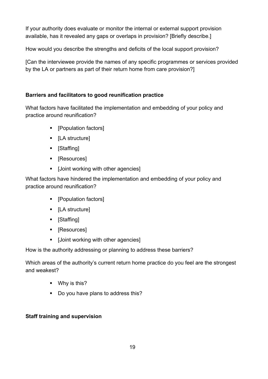If your authority does evaluate or monitor the internal or external support provision available, has it revealed any gaps or overlaps in provision? [Briefly describe.]

How would you describe the strengths and deficits of the local support provision?

[Can the interviewee provide the names of any specific programmes or services provided by the LA or partners as part of their return home from care provision?]

## **Barriers and facilitators to good reunification practice**

What factors have facilitated the implementation and embedding of your policy and practice around reunification?

- [Population factors]
- [LA structure]
- [Staffing]
- [Resources]
- [Joint working with other agencies]

What factors have hindered the implementation and embedding of your policy and practice around reunification?

- [Population factors]
- [LA structure]
- [Staffing]
- [Resources]
- [Joint working with other agencies]

How is the authority addressing or planning to address these barriers?

Which areas of the authority's current return home practice do you feel are the strongest and weakest?

- **No.** Why is this?
- Do you have plans to address this?

## **Staff training and supervision**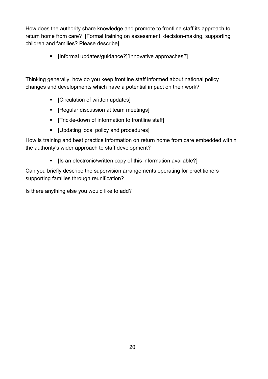How does the authority share knowledge and promote to frontline staff its approach to return home from care? [Formal training on assessment, decision-making, supporting children and families? Please describe]

[Informal updates/guidance?][Innovative approaches?]

Thinking generally, how do you keep frontline staff informed about national policy changes and developments which have a potential impact on their work?

- [Circulation of written updates]
- [Regular discussion at team meetings]
- **Trickle-down of information to frontline staff**
- **•** [Updating local policy and procedures]

How is training and best practice information on return home from care embedded within the authority's wider approach to staff development?

[Is an electronic/written copy of this information available?]

Can you briefly describe the supervision arrangements operating for practitioners supporting families through reunification?

Is there anything else you would like to add?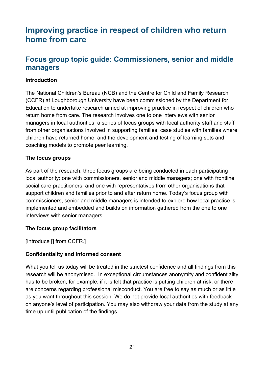# <span id="page-20-0"></span>**Improving practice in respect of children who return home from care**

# <span id="page-20-1"></span>**Focus group topic guide: Commissioners, senior and middle managers**

#### <span id="page-20-2"></span>**Introduction**

The National Children's Bureau (NCB) and the Centre for Child and Family Research (CCFR) at Loughborough University have been commissioned by the Department for Education to undertake research aimed at improving practice in respect of children who return home from care. The research involves one to one interviews with senior managers in local authorities; a series of focus groups with local authority staff and staff from other organisations involved in supporting families; case studies with families where children have returned home; and the development and testing of learning sets and coaching models to promote peer learning.

#### **The focus groups**

As part of the research, three focus groups are being conducted in each participating local authority: one with commissioners, senior and middle managers; one with frontline social care practitioners; and one with representatives from other organisations that support children and families prior to and after return home. Today's focus group with commissioners, senior and middle managers is intended to explore how local practice is implemented and embedded and builds on information gathered from the one to one interviews with senior managers.

#### **The focus group facilitators**

[Introduce [] from CCFR.]

#### **Confidentiality and informed consent**

What you tell us today will be treated in the strictest confidence and all findings from this research will be anonymised. In exceptional circumstances anonymity and confidentiality has to be broken, for example, if it is felt that practice is putting children at risk, or there are concerns regarding professional misconduct. You are free to say as much or as little as you want throughout this session. We do not provide local authorities with feedback on anyone's level of participation. You may also withdraw your data from the study at any time up until publication of the findings.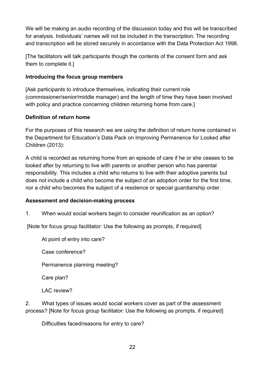We will be making an audio recording of the discussion today and this will be transcribed for analysis. Individuals' names will not be included in the transcription. The recording and transcription will be stored securely in accordance with the Data Protection Act 1998.

[The facilitators will talk participants though the contents of the consent form and ask them to complete it.]

#### **Introducing the focus group members**

[Ask participants to introduce themselves, indicating their current role (commissioner/senior/middle manager) and the length of time they have been involved with policy and practice concerning children returning home from care.]

#### **Definition of return home**

For the purposes of this research we are using the definition of return home contained in the Department for Education's Data Pack on Improving Permanence for Looked after Children (2013):

A child is recorded as returning home from an episode of care if he or she ceases to be looked after by returning to live with parents or another person who has parental responsibility. This includes a child who returns to live with their adoptive parents but does not include a child who become the subject of an adoption order for the first time, nor a child who becomes the subject of a residence or special guardianship order.

#### **Assessment and decision-making process**

1. When would social workers begin to consider reunification as an option?

[Note for focus group facilitator: Use the following as prompts, if required]

At point of entry into care?

Case conference?

Permanence planning meeting?

Care plan?

LAC review?

2. What types of issues would social workers cover as part of the assessment process? [Note for focus group facilitator: Use the following as prompts, if required]

Difficulties faced/reasons for entry to care?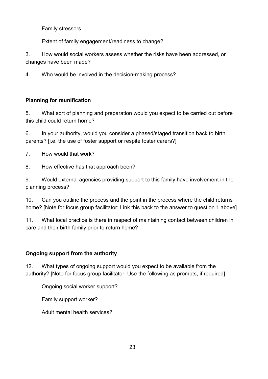Family stressors

Extent of family engagement/readiness to change?

3. How would social workers assess whether the risks have been addressed, or changes have been made?

4. Who would be involved in the decision-making process?

## **Planning for reunification**

5. What sort of planning and preparation would you expect to be carried out before this child could return home?

6. In your authority, would you consider a phased/staged transition back to birth parents? Ii.e. the use of foster support or respite foster carers?

7. How would that work?

8. How effective has that approach been?

9. Would external agencies providing support to this family have involvement in the planning process?

10. Can you outline the process and the point in the process where the child returns home? [Note for focus group facilitator: Link this back to the answer to question 1 above]

11. What local practice is there in respect of maintaining contact between children in care and their birth family prior to return home?

## **Ongoing support from the authority**

12. What types of ongoing support would you expect to be available from the authority? [Note for focus group facilitator: Use the following as prompts, if required]

Ongoing social worker support?

Family support worker?

Adult mental health services?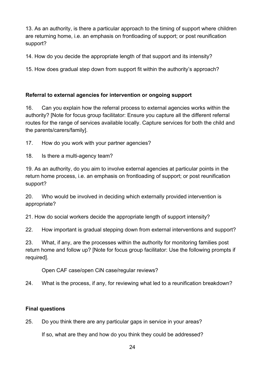13. As an authority, is there a particular approach to the timing of support where children are returning home, i.e. an emphasis on frontloading of support; or post reunification support?

14. How do you decide the appropriate length of that support and its intensity?

15. How does gradual step down from support fit within the authority's approach?

## **Referral to external agencies for intervention or ongoing support**

16. Can you explain how the referral process to external agencies works within the authority? [Note for focus group facilitator: Ensure you capture all the different referral routes for the range of services available locally. Capture services for both the child and the parents/carers/family].

17. How do you work with your partner agencies?

18. Is there a multi-agency team?

19. As an authority, do you aim to involve external agencies at particular points in the return home process, i.e. an emphasis on frontloading of support; or post reunification support?

20. Who would be involved in deciding which externally provided intervention is appropriate?

21. How do social workers decide the appropriate length of support intensity?

22. How important is gradual stepping down from external interventions and support?

23. What, if any, are the processes within the authority for monitoring families post return home and follow up? [Note for focus group facilitator: Use the following prompts if required].

Open CAF case/open CiN case/regular reviews?

24. What is the process, if any, for reviewing what led to a reunification breakdown?

# **Final questions**

25. Do you think there are any particular gaps in service in your areas?

If so, what are they and how do you think they could be addressed?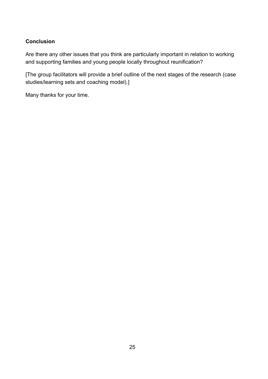#### **Conclusion**

Are there any other issues that you think are particularly important in relation to working and supporting families and young people locally throughout reunification?

[The group facilitators will provide a brief outline of the next stages of the research (case studies/learning sets and coaching model).]

Many thanks for your time.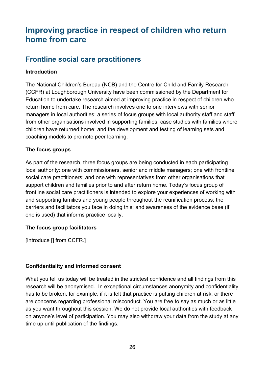# <span id="page-25-0"></span>**Improving practice in respect of children who return home from care**

# <span id="page-25-1"></span>**Frontline social care practitioners**

#### **Introduction**

The National Children's Bureau (NCB) and the Centre for Child and Family Research (CCFR) at Loughborough University have been commissioned by the Department for Education to undertake research aimed at improving practice in respect of children who return home from care. The research involves one to one interviews with senior managers in local authorities; a series of focus groups with local authority staff and staff from other organisations involved in supporting families; case studies with families where children have returned home; and the development and testing of learning sets and coaching models to promote peer learning.

#### **The focus groups**

As part of the research, three focus groups are being conducted in each participating local authority: one with commissioners, senior and middle managers; one with frontline social care practitioners; and one with representatives from other organisations that support children and families prior to and after return home. Today's focus group of frontline social care practitioners is intended to explore your experiences of working with and supporting families and young people throughout the reunification process; the barriers and facilitators you face in doing this; and awareness of the evidence base (if one is used) that informs practice locally.

#### **The focus group facilitators**

[Introduce [] from CCFR.]

#### **Confidentiality and informed consent**

What you tell us today will be treated in the strictest confidence and all findings from this research will be anonymised. In exceptional circumstances anonymity and confidentiality has to be broken, for example, if it is felt that practice is putting children at risk, or there are concerns regarding professional misconduct. You are free to say as much or as little as you want throughout this session. We do not provide local authorities with feedback on anyone's level of participation. You may also withdraw your data from the study at any time up until publication of the findings.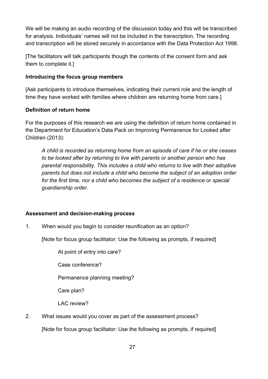We will be making an audio recording of the discussion today and this will be transcribed for analysis. Individuals' names will not be included in the transcription. The recording and transcription will be stored securely in accordance with the Data Protection Act 1998.

[The facilitators will talk participants though the contents of the consent form and ask them to complete it.]

#### **Introducing the focus group members**

[Ask participants to introduce themselves, indicating their current role and the length of time they have worked with families where children are returning home from care.]

#### **Definition of return home**

For the purposes of this research we are using the definition of return home contained in the Department for Education's Data Pack on Improving Permanence for Looked after Children (2013):

*A child is recorded as returning home from an episode of care if he or she ceases to be looked after by returning to live with parents or another person who has parental responsibility. This includes a child who returns to live with their adoptive parents but does not include a child who become the subject of an adoption order for the first time, nor a child who becomes the subject of a residence or special guardianship order.*

#### **Assessment and decision-making process**

1. When would you begin to consider reunification as an option?

[Note for focus group facilitator: Use the following as prompts, if required]

At point of entry into care?

Case conference?

Permanence planning meeting?

Care plan?

LAC review?

2. What issues would you cover as part of the assessment process? [Note for focus group facilitator: Use the following as prompts, if required]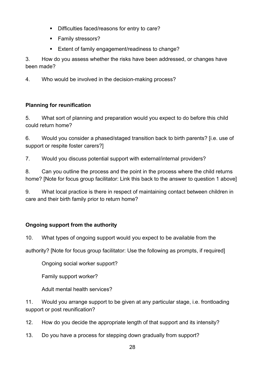- Difficulties faced/reasons for entry to care?
- **Family stressors?**
- **Extent of family engagement/readiness to change?**

3. How do you assess whether the risks have been addressed, or changes have been made?

4. Who would be involved in the decision-making process?

## **Planning for reunification**

5. What sort of planning and preparation would you expect to do before this child could return home?

6. Would you consider a phased/staged transition back to birth parents? [i.e. use of support or respite foster carers?]

7. Would you discuss potential support with external/internal providers?

8. Can you outline the process and the point in the process where the child returns home? [Note for focus group facilitator: Link this back to the answer to question 1 above]

9. What local practice is there in respect of maintaining contact between children in care and their birth family prior to return home?

# **Ongoing support from the authority**

10. What types of ongoing support would you expect to be available from the

authority? [Note for focus group facilitator: Use the following as prompts, if required]

Ongoing social worker support?

Family support worker?

Adult mental health services?

11. Would you arrange support to be given at any particular stage, i.e. frontloading support or post reunification?

12. How do you decide the appropriate length of that support and its intensity?

13. Do you have a process for stepping down gradually from support?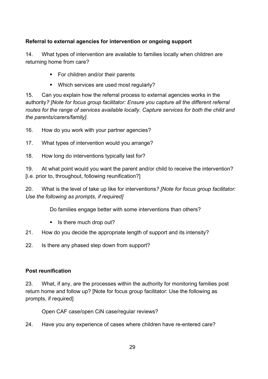## **Referral to external agencies for intervention or ongoing support**

14. What types of intervention are available to families locally when children are returning home from care?

- For children and/or their parents
- Which services are used most regularly?

15. Can you explain how the referral process to external agencies works in the authority*? [Note for focus group facilitator: Ensure you capture all the different referral routes for the range of services available locally. Capture services for both the child and the parents/carers/family].*

16. How do you work with your partner agencies?

- 17. What types of intervention would you arrange?
- 18. How long do interventions typically last for?

19. At what point would you want the parent and/or child to receive the intervention? [i.e. prior to, throughout, following reunification?]

20. What is the level of take up like for interventions*? [Note for focus group facilitator: Use the following as prompts, if required]*

Do families engage better with some interventions than others?

- $\blacksquare$  Is there much drop out?
- 21. How do you decide the appropriate length of support and its intensity?
- 22. Is there any phased step down from support?

## **Post reunification**

23. What, if any, are the processes within the authority for monitoring families post return home and follow up? [Note for focus group facilitator: Use the following as prompts, if required]

Open CAF case/open CiN case/regular reviews?

24. Have you any experience of cases where children have re-entered care?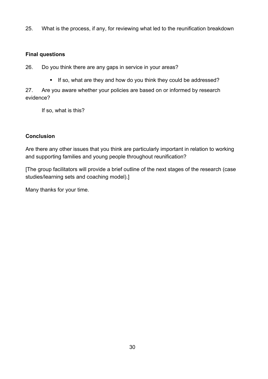25. What is the process, if any, for reviewing what led to the reunification breakdown

#### **Final questions**

26. Do you think there are any gaps in service in your areas?

If so, what are they and how do you think they could be addressed?

27. Are you aware whether your policies are based on or informed by research evidence?

If so, what is this?

## **Conclusion**

Are there any other issues that you think are particularly important in relation to working and supporting families and young people throughout reunification?

[The group facilitators will provide a brief outline of the next stages of the research (case studies/learning sets and coaching model).]

Many thanks for your time.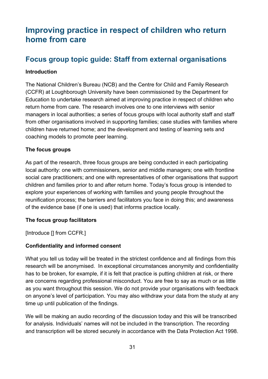# <span id="page-30-0"></span>**Improving practice in respect of children who return home from care**

# <span id="page-30-1"></span>**Focus group topic guide: Staff from external organisations**

#### **Introduction**

The National Children's Bureau (NCB) and the Centre for Child and Family Research (CCFR) at Loughborough University have been commissioned by the Department for Education to undertake research aimed at improving practice in respect of children who return home from care. The research involves one to one interviews with senior managers in local authorities; a series of focus groups with local authority staff and staff from other organisations involved in supporting families; case studies with families where children have returned home; and the development and testing of learning sets and coaching models to promote peer learning.

#### **The focus groups**

As part of the research, three focus groups are being conducted in each participating local authority: one with commissioners, senior and middle managers; one with frontline social care practitioners; and one with representatives of other organisations that support children and families prior to and after return home. Today's focus group is intended to explore your experiences of working with families and young people throughout the reunification process; the barriers and facilitators you face in doing this; and awareness of the evidence base (if one is used) that informs practice locally.

#### **The focus group facilitators**

[Introduce [] from CCFR.]

#### **Confidentiality and informed consent**

What you tell us today will be treated in the strictest confidence and all findings from this research will be anonymised. In exceptional circumstances anonymity and confidentiality has to be broken, for example, if it is felt that practice is putting children at risk, or there are concerns regarding professional misconduct. You are free to say as much or as little as you want throughout this session. We do not provide your organisations with feedback on anyone's level of participation. You may also withdraw your data from the study at any time up until publication of the findings.

We will be making an audio recording of the discussion today and this will be transcribed for analysis. Individuals' names will not be included in the transcription. The recording and transcription will be stored securely in accordance with the Data Protection Act 1998.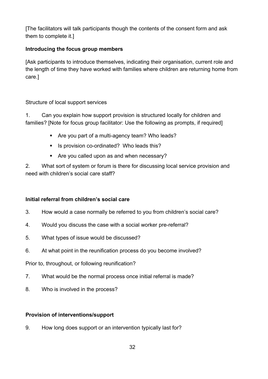[The facilitators will talk participants though the contents of the consent form and ask them to complete it.]

## **Introducing the focus group members**

[Ask participants to introduce themselves, indicating their organisation, current role and the length of time they have worked with families where children are returning home from care.]

## Structure of local support services

1. Can you explain how support provision is structured locally for children and families? [Note for focus group facilitator: Use the following as prompts, if required]

- Are you part of a multi-agency team? Who leads?
- Is provision co-ordinated? Who leads this?
- Are you called upon as and when necessary?

2. What sort of system or forum is there for discussing local service provision and need with children's social care staff?

## **Initial referral from children's social care**

- 3. How would a case normally be referred to you from children's social care?
- 4. Would you discuss the case with a social worker pre-referral?
- 5. What types of issue would be discussed?
- 6. At what point in the reunification process do you become involved?

Prior to, throughout, or following reunification?

- 7. What would be the normal process once initial referral is made?
- 8. Who is involved in the process?

## **Provision of interventions/support**

9. How long does support or an intervention typically last for?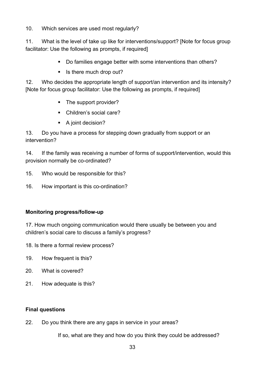10. Which services are used most regularly?

11. What is the level of take up like for interventions/support? [Note for focus group facilitator: Use the following as prompts, if required]

- Do families engage better with some interventions than others?
- $\blacksquare$  Is there much drop out?

12. Who decides the appropriate length of support/an intervention and its intensity? [Note for focus group facilitator: Use the following as prompts, if required]

- The support provider?
- Children's social care?
- A joint decision?

13. Do you have a process for stepping down gradually from support or an intervention?

14. If the family was receiving a number of forms of support/intervention, would this provision normally be co-ordinated?

- 15. Who would be responsible for this?
- 16. How important is this co-ordination?

## **Monitoring progress/follow-up**

17. How much ongoing communication would there usually be between you and children's social care to discuss a family's progress?

- 18. Is there a formal review process?
- 19. How frequent is this?
- 20. What is covered?
- 21. How adequate is this?

## **Final questions**

22. Do you think there are any gaps in service in your areas?

If so, what are they and how do you think they could be addressed?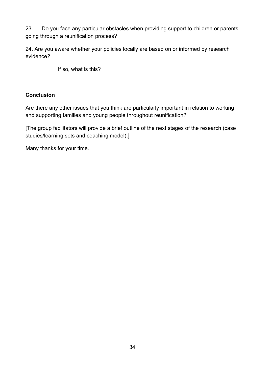23. Do you face any particular obstacles when providing support to children or parents going through a reunification process?

24. Are you aware whether your policies locally are based on or informed by research evidence?

If so, what is this?

#### **Conclusion**

Are there any other issues that you think are particularly important in relation to working and supporting families and young people throughout reunification?

[The group facilitators will provide a brief outline of the next stages of the research (case studies/learning sets and coaching model).]

Many thanks for your time.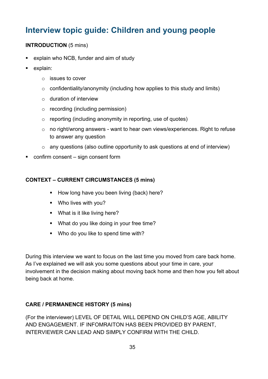# **Interview topic guide: Children and young people**

## **INTRODUCTION** (5 mins)

- explain who NCB, funder and aim of study
- **explain:** 
	- o issues to cover
	- $\circ$  confidentiality/anonymity (including how applies to this study and limits)
	- $\circ$  duration of interview
	- o recording (including permission)
	- $\circ$  reporting (including anonymity in reporting, use of quotes)
	- o no right/wrong answers want to hear own views/experiences. Right to refuse to answer any question
	- o any questions (also outline opportunity to ask questions at end of interview)
- confirm consent sign consent form

#### **CONTEXT – CURRENT CIRCUMSTANCES (5 mins)**

- How long have you been living (back) here?
- Who lives with you?
- What is it like living here?
- What do you like doing in your free time?
- Who do you like to spend time with?

During this interview we want to focus on the last time you moved from care back home. As I've explained we will ask you some questions about your time in care, your involvement in the decision making about moving back home and then how you felt about being back at home.

## **CARE / PERMANENCE HISTORY (5 mins)**

(For the interviewer) LEVEL OF DETAIL WILL DEPEND ON CHILD'S AGE, ABILITY AND ENGAGEMENT. IF INFOMRAITON HAS BEEN PROVIDED BY PARENT, INTERVIEWER CAN LEAD AND SIMPLY CONFIRM WITH THE CHILD.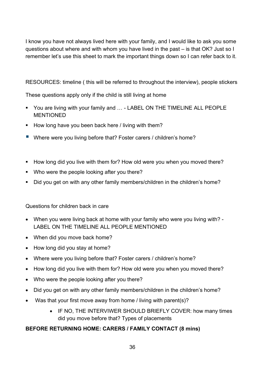I know you have not always lived here with your family, and I would like to ask you some questions about where and with whom you have lived in the past – is that OK? Just so I remember let's use this sheet to mark the important things down so I can refer back to it.

RESOURCES: timeline ( this will be referred to throughout the interview), people stickers

These questions apply only if the child is still living at home

- You are living with your family and ... LABEL ON THE TIMELINE ALL PEOPLE MENTIONED
- How long have you been back here / living with them?
- Where were you living before that? Foster carers / children's home?
- How long did you live with them for? How old were you when you moved there?
- **Who were the people looking after you there?**
- Did you get on with any other family members/children in the children's home?

Questions for children back in care

- When you were living back at home with your family who were you living with? LABEL ON THE TIMELINE ALL PEOPLE MENTIONED
- When did you move back home?
- How long did you stay at home?
- Where were you living before that? Foster carers / children's home?
- How long did you live with them for? How old were you when you moved there?
- Who were the people looking after you there?
- Did you get on with any other family members/children in the children's home?
- Was that your first move away from home / living with parent(s)?
	- IF NO, THE INTERVIWER SHOULD BRIEFLY COVER: how many times did you move before that? Types of placements

# **BEFORE RETURNING HOME: CARERS / FAMILY CONTACT (8 mins)**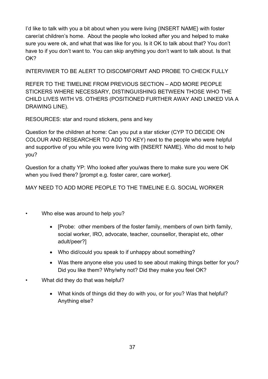I'd like to talk with you a bit about when you were living {INSERT NAME} with foster carer/at children's home. About the people who looked after you and helped to make sure you were ok, and what that was like for you. Is it OK to talk about that? You don't have to if you don't want to. You can skip anything you don't want to talk about. Is that OK?

INTERVIWER TO BE ALERT TO DISCOMFORMT AND PROBE TO CHECK FULLY

REFER TO THE TIMELINE FROM PREVIOUS SECTION – ADD MORE PEOPLE STICKERS WHERE NECESSARY, DISTINGUISHING BETWEEN THOSE WHO THE CHILD LIVES WITH VS. OTHERS (POSITIONED FURTHER AWAY AND LINKED VIA A DRAWING LINE).

RESOURCES: star and round stickers, pens and key

Question for the children at home: Can you put a star sticker (CYP TO DECIDE ON COLOUR AND RESEARCHER TO ADD TO KEY) next to the people who were helpful and supportive of you while you were living with {INSERT NAME}. Who did most to help you?

Question for a chatty YP: Who looked after you/was there to make sure you were OK when you lived there? [prompt e.g. foster carer, care worker].

MAY NEED TO ADD MORE PEOPLE TO THE TIMELINE E.G. SOCIAL WORKER

- Who else was around to help you?
	- [Probe: other members of the foster family, members of own birth family, social worker, IRO, advocate, teacher, counsellor, therapist etc, other adult/peer?]
	- Who did/could you speak to if unhappy about something?
	- Was there anyone else you used to see about making things better for you? Did you like them? Why/why not? Did they make you feel OK?
- What did they do that was helpful?
	- What kinds of things did they do with you, or for you? Was that helpful? Anything else?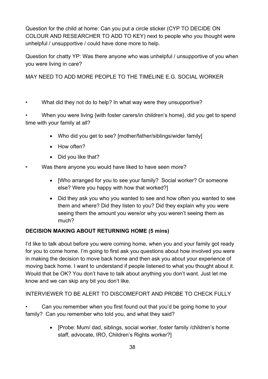Question for the child at home: Can you put a circle sticker (CYP TO DECIDE ON COLOUR AND RESEARCHER TO ADD TO KEY) next to people who you thought were unhelpful / unsupportive / could have done more to help.

Question for chatty YP: Was there anyone who was unhelpful / unsupportive of you when you were living in care?

MAY NEED TO ADD MORE PEOPLE TO THE TIMELINE E.G. SOCIAL WORKER

• What did they not do to help? In what way were they unsupportive?

• When you were living {with foster carers/in children's home}, did you get to spend time with your family at all?

- Who did you get to see? Imother/father/siblings/wider familyl
- How often?
- Did you like that?
- Was there anyone you would have liked to have seen more?
	- [Who arranged for you to see your family? Social worker? Or someone else? Were you happy with how that worked?]
	- Did they ask you who you wanted to see and how often you wanted to see them and where? Did they listen to you? Did they explain why you were seeing them the amount you were/or why you weren't seeing them as much?

# **DECISION MAKING ABOUT RETURNING HOME (5 mins)**

I'd like to talk about before you were coming home, when you and your family got ready for you to come home. I'm going to first ask you questions about how involved you were in making the decision to move back home and then ask you about your experience of moving back home. I want to understand if people listened to what you thought about it. Would that be OK? You don't have to talk about anything you don't want. Just let me know and we can skip any bit you don't like.

INTERVIEWER TO BE ALERT TO DISCOMEFORT AND PROBE TO CHECK FULLY

• Can you remember when you first found out that you'd be going home to your family? Can you remember who told you, and what they said?

> • [Probe: Mum/ dad, siblings, social worker, foster family /children's home staff, advocate, IRO, Children's Rights worker?]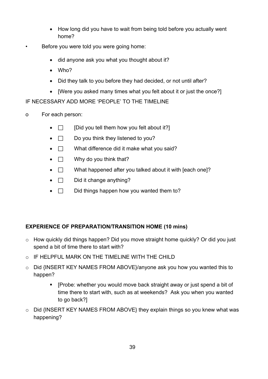- How long did you have to wait from being told before you actually went home?
- Before you were told you were going home:
	- did anyone ask you what you thought about it?
	- Who?
	- Did they talk to you before they had decided, or not until after?
	- I Were you asked many times what you felt about it or just the once?

IF NECESSARY ADD MORE 'PEOPLE' TO THE TIMELINE

- o For each person:
	- $\Box$  [Did you tell them how you felt about it?]
	- $\Box$  Do you think they listened to you?
	- $\Box$  What difference did it make what you said?
	- $\Box$  Why do you think that?
	- $\Box$  What happened after you talked about it with [each one]?
	- $\Box$  Did it change anything?
	- $\Box$  Did things happen how you wanted them to?

## **EXPERIENCE OF PREPARATION/TRANSITION HOME (10 mins)**

- o How quickly did things happen? Did you move straight home quickly? Or did you just spend a bit of time there to start with?
- o IF HELPFUL MARK ON THE TIMELINE WITH THE CHILD
- o Did {INSERT KEY NAMES FROM ABOVE}/anyone ask you how you wanted this to happen?
	- **F** [Probe: whether you would move back straight away or just spend a bit of time there to start with, such as at weekends? Ask you when you wanted to go back?]
- o Did {INSERT KEY NAMES FROM ABOVE} they explain things so you knew what was happening?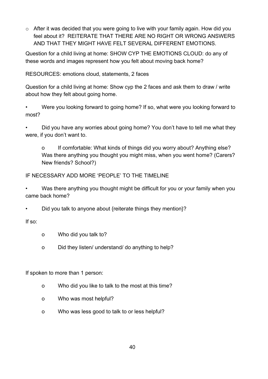o After it was decided that you were going to live with your family again. How did you feel about it? REITERATE THAT THERE ARE NO RIGHT OR WRONG ANSWERS AND THAT THEY MIGHT HAVE FELT SEVERAL DIFFERENT EMOTIONS.

Question for a child living at home: SHOW CYP THE EMOTIONS CLOUD: do any of these words and images represent how you felt about moving back home?

RESOURCES: emotions cloud, statements, 2 faces

Question for a child living at home: Show cyp the 2 faces and ask them to draw / write about how they felt about going home.

• Were you looking forward to going home? If so, what were you looking forward to most?

• Did you have any worries about going home? You don't have to tell me what they were, if you don't want to.

o If comfortable: What kinds of things did you worry about? Anything else? Was there anything you thought you might miss, when you went home? (Carers? New friends? School?)

## IF NECESSARY ADD MORE 'PEOPLE' TO THE TIMELINE

• Was there anything you thought might be difficult for you or your family when you came back home?

• Did you talk to anyone about {reiterate things they mention}?

If so:

- o Who did you talk to?
- o Did they listen/ understand/ do anything to help?

If spoken to more than 1 person:

- o Who did you like to talk to the most at this time?
- o Who was most helpful?
- o Who was less good to talk to or less helpful?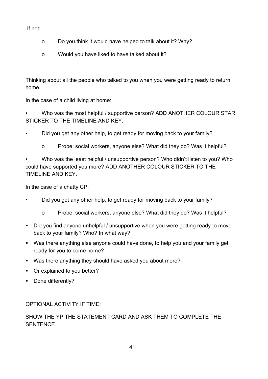If not:

- o Do you think it would have helped to talk about it? Why?
- o Would you have liked to have talked about it?

Thinking about all the people who talked to you when you were getting ready to return home.

In the case of a child living at home:

• Who was the most helpful / supportive person? ADD ANOTHER COLOUR STAR STICKER TO THE TIMELINE AND KEY.

• Did you get any other help, to get ready for moving back to your family?

o Probe: social workers, anyone else? What did they do? Was it helpful?

• Who was the least helpful / unsupportive person? Who didn't listen to you? Who could have supported you more? ADD ANOTHER COLOUR STICKER TO THE TIMELINE AND KEY.

In the case of a chatty CP:

- Did you get any other help, to get ready for moving back to your family?
	- o Probe: social workers, anyone else? What did they do? Was it helpful?
- Did you find anyone unhelpful / unsupportive when you were getting ready to move back to your family? Who? In what way?
- Was there anything else anyone could have done, to help you and your family get ready for you to come home?
- Was there anything they should have asked you about more?
- Or explained to you better?
- Done differently?

OPTIONAL ACTIVITY IF TIME:

## SHOW THE YP THE STATEMENT CARD AND ASK THEM TO COMPLETE THE **SENTENCE**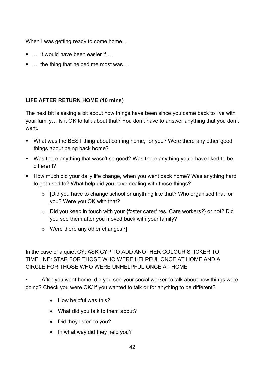When I was getting ready to come home…

- … it would have been easier if …
- … the thing that helped me most was ...

## **LIFE AFTER RETURN HOME (10 mins)**

The next bit is asking a bit about how things have been since you came back to live with your family… Is it OK to talk about that? You don't have to answer anything that you don't want.

- What was the BEST thing about coming home, for you? Were there any other good things about being back home?
- Was there anything that wasn't so good? Was there anything you'd have liked to be different?
- **How much did your daily life change, when you went back home? Was anything hard** to get used to? What help did you have dealing with those things?
	- o [Did you have to change school or anything like that? Who organised that for you? Were you OK with that?
	- o Did you keep in touch with your {foster carer/ res. Care workers?} or not? Did you see them after you moved back with your family?
	- $\circ$  Were there any other changes?

In the case of a quiet CY: ASK CYP TO ADD ANOTHER COLOUR STICKER TO TIMELINE: STAR FOR THOSE WHO WERE HELPFUL ONCE AT HOME AND A CIRCLE FOR THOSE WHO WERE UNHELPFUL ONCE AT HOME

After you went home, did you see your social worker to talk about how things were going? Check you were OK/ if you wanted to talk or for anything to be different?

- How helpful was this?
- What did you talk to them about?
- Did they listen to you?
- In what way did they help you?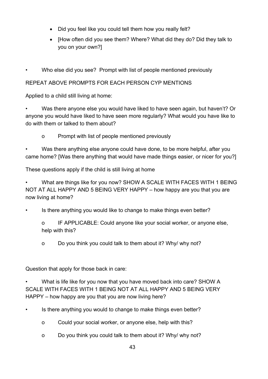- Did you feel like you could tell them how you really felt?
- [How often did you see them? Where? What did they do? Did they talk to you on your own?]

• Who else did you see? Prompt with list of people mentioned previously

## REPEAT ABOVE PROMPTS FOR EACH PERSON CYP MENTIONS

Applied to a child still living at home:

• Was there anyone else you would have liked to have seen again, but haven't? Or anyone you would have liked to have seen more regularly? What would you have like to do with them or talked to them about?

o Prompt with list of people mentioned previously

Was there anything else anyone could have done, to be more helpful, after you came home? [Was there anything that would have made things easier, or nicer for you?]

These questions apply if the child is still living at home

• What are things like for you now? SHOW A SCALE WITH FACES WITH 1 BEING NOT AT ALL HAPPY AND 5 BEING VERY HAPPY – how happy are you that you are now living at home?

Is there anything you would like to change to make things even better?

o IF APPLICABLE: Could anyone like your social worker, or anyone else, help with this?

o Do you think you could talk to them about it? Why/ why not?

Question that apply for those back in care:

• What is life like for you now that you have moved back into care? SHOW A SCALE WITH FACES WITH 1 BEING NOT AT ALL HAPPY AND 5 BEING VERY HAPPY – how happy are you that you are now living here?

Is there anything you would to change to make things even better?

- o Could your social worker, or anyone else, help with this?
- o Do you think you could talk to them about it? Why/ why not?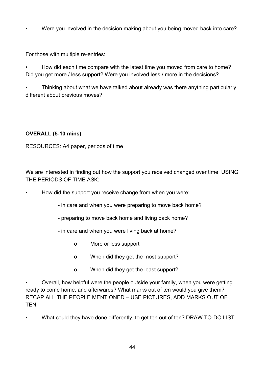• Were you involved in the decision making about you being moved back into care?

For those with multiple re-entries:

• How did each time compare with the latest time you moved from care to home? Did you get more / less support? Were you involved less / more in the decisions?

• Thinking about what we have talked about already was there anything particularly different about previous moves?

## **OVERALL (5-10 mins)**

RESOURCES: A4 paper, periods of time

We are interested in finding out how the support you received changed over time. USING THE PERIODS OF TIME ASK:

- How did the support you receive change from when you were:
	- in care and when you were preparing to move back home?
	- preparing to move back home and living back home?
	- in care and when you were living back at home?
		- o More or less support
		- o When did they get the most support?
		- o When did they get the least support?

• Overall, how helpful were the people outside your family, when you were getting ready to come home, and afterwards? What marks out of ten would you give them? RECAP ALL THE PEOPLE MENTIONED – USE PICTURES, ADD MARKS OUT OF **TEN** 

• What could they have done differently, to get ten out of ten? DRAW TO-DO LIST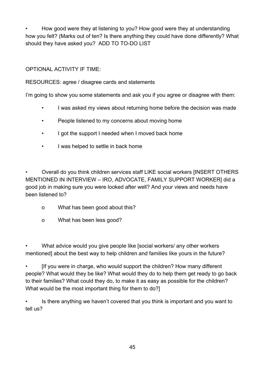• How good were they at listening to you? How good were they at understanding how you felt? (Marks out of ten? Is there anything they could have done differently? What should they have asked you? ADD TO TO-DO LIST

OPTIONAL ACTIVITY IF TIME:

## RESOURCES: agree / disagree cards and statements

I'm going to show you some statements and ask you if you agree or disagree with them:

- I was asked my views about returning home before the decision was made
- People listened to my concerns about moving home
- I got the support I needed when I moved back home
- I was helped to settle in back home

• Overall do you think children services staff LIKE social workers [INSERT OTHERS MENTIONED IN INTERVIEW – IRO, ADVOCATE, FAMILY SUPPORT WORKER] did a good job in making sure you were looked after well? And your views and needs have been listened to?

- o What has been good about this?
- o What has been less good?

What advice would you give people like [social workers/ any other workers] mentioned] about the best way to help children and families like yours in the future?

If you were in charge, who would support the children? How many different people? What would they be like? What would they do to help them get ready to go back to their families? What could they do, to make it as easy as possible for the children? What would be the most important thing for them to do?]

• Is there anything we haven't covered that you think is important and you want to tell us?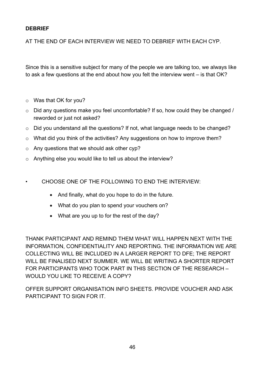#### **DEBRIEF**

AT THE END OF EACH INTERVIEW WE NEED TO DEBRIEF WITH EACH CYP.

Since this is a sensitive subject for many of the people we are talking too, we always like to ask a few questions at the end about how you felt the interview went – is that OK?

- o Was that OK for you?
- o Did any questions make you feel uncomfortable? If so, how could they be changed / reworded or just not asked?
- o Did you understand all the questions? If not, what language needs to be changed?
- o What did you think of the activities? Any suggestions on how to improve them?
- o Any questions that we should ask other cyp?
- o Anything else you would like to tell us about the interview?
- CHOOSE ONE OF THE FOLLOWING TO END THE INTERVIEW:
	- And finally, what do you hope to do in the future.
	- What do you plan to spend your vouchers on?
	- What are you up to for the rest of the day?

THANK PARTICIPANT AND REMIND THEM WHAT WILL HAPPEN NEXT WITH THE INFORMATION, CONFIDENTIALITY AND REPORTING. THE INFORMATION WE ARE COLLECTING WILL BE INCLUDED IN A LARGER REPORT TO DFE; THE REPORT WILL BE FINALISED NEXT SUMMER. WE WILL BE WRITING A SHORTER REPORT FOR PARTICIPANTS WHO TOOK PART IN THIS SECTION OF THE RESEARCH – WOULD YOU LIKE TO RECEIVE A COPY?

OFFER SUPPORT ORGANISATION INFO SHEETS. PROVIDE VOUCHER AND ASK PARTICIPANT TO SIGN FOR IT.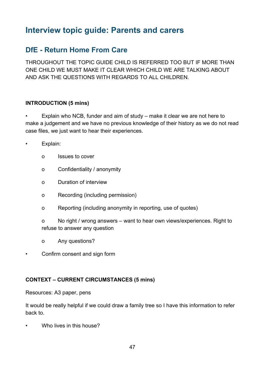# <span id="page-46-0"></span>**Interview topic guide: Parents and carers**

# <span id="page-46-1"></span>**DfE - Return Home From Care**

THROUGHOUT THE TOPIC GUIDE CHILD IS REFERRED TOO BUT IF MORE THAN ONE CHILD WE MUST MAKE IT CLEAR WHICH CHILD WE ARE TALKING ABOUT AND ASK THE QUESTIONS WITH REGARDS TO ALL CHILDREN.

## **INTRODUCTION (5 mins)**

• Explain who NCB, funder and aim of study – make it clear we are not here to make a judgement and we have no previous knowledge of their history as we do not read case files, we just want to hear their experiences.

- Explain:
	- o Issues to cover
	- o Confidentiality / anonymity
	- o Duration of interview
	- o Recording (including permission)
	- o Reporting (including anonymity in reporting, use of quotes)
	- o No right / wrong answers want to hear own views/experiences. Right to refuse to answer any question
	- o Any questions?
- Confirm consent and sign form

## **CONTEXT – CURRENT CIRCUMSTANCES (5 mins)**

Resources: A3 paper, pens

It would be really helpful if we could draw a family tree so I have this information to refer back to.

• Who lives in this house?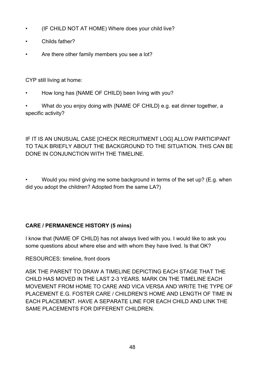- (IF CHILD NOT AT HOME) Where does your child live?
- Childs father?
- Are there other family members you see a lot?

CYP still living at home:

• How long has {NAME OF CHILD} been living with you?

• What do you enjoy doing with {NAME OF CHILD} e.g. eat dinner together, a specific activity?

# IF IT IS AN UNUSUAL CASE [CHECK RECRUITMENT LOG] ALLOW PARTICIPANT TO TALK BRIEFLY ABOUT THE BACKGROUND TO THE SITUATION. THIS CAN BE DONE IN CONJUNCTION WITH THE TIMELINE.

• Would you mind giving me some background in terms of the set up? (E.g. when did you adopt the children? Adopted from the same LA?)

# **CARE / PERMANENCE HISTORY (5 mins)**

I know that {NAME OF CHILD} has not always lived with you. I would like to ask you some questions about where else and with whom they have lived. Is that OK?

RESOURCES: timeline, front doors

ASK THE PARENT TO DRAW A TIMELINE DEPICTING EACH STAGE THAT THE CHILD HAS MOVED IN THE LAST 2-3 YEARS. MARK ON THE TIMELINE EACH MOVEMENT FROM HOME TO CARE AND VICA VERSA AND WRITE THE TYPE OF PLACEMENT E.G. FOSTER CARE / CHILDREN'S HOME AND LENGTH OF TIME IN EACH PLACEMENT. HAVE A SEPARATE LINE FOR EACH CHILD AND LINK THE SAME PLACEMENTS FOR DIFFERENT CHILDREN.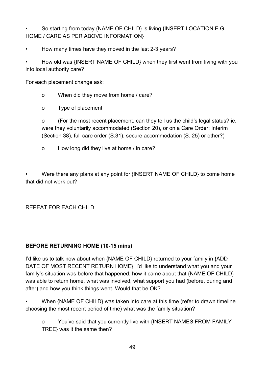• So starting from today {NAME OF CHILD} is living {INSERT LOCATION E.G. HOME / CARE AS PER ABOVE INFORMATION}

• How many times have they moved in the last 2-3 years?

• How old was {INSERT NAME OF CHILD} when they first went from living with you into local authority care?

For each placement change ask:

o When did they move from home / care?

o Type of placement

o (For the most recent placement, can they tell us the child's legal status? ie, were they voluntarily accommodated (Section 20), or on a Care Order: Interim (Section 38), full care order (S.31), secure accommodation (S. 25) or other?)

o How long did they live at home / in care?

• Were there any plans at any point for {INSERT NAME OF CHILD} to come home that did not work out?

REPEAT FOR EACH CHILD

## **BEFORE RETURNING HOME (10-15 mins)**

I'd like us to talk now about when {NAME OF CHILD} returned to your family in {ADD DATE OF MOST RECENT RETURN HOME}. I'd like to understand what you and your family's situation was before that happened, how it came about that {NAME OF CHILD} was able to return home, what was involved, what support you had (before, during and after) and how you think things went. Would that be OK?

• When {NAME OF CHILD} was taken into care at this time (refer to drawn timeline choosing the most recent period of time) what was the family situation?

o You've said that you currently live with {INSERT NAMES FROM FAMILY TREE} was it the same then?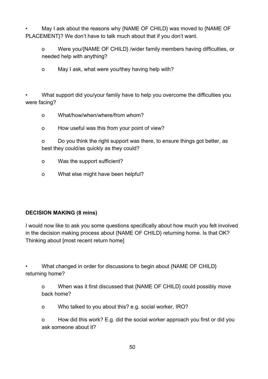• May I ask about the reasons why {NAME OF CHILD} was moved to {NAME OF PLACEMENT}? We don't have to talk much about that if you don't want.

o Were you/{NAME OF CHILD} /wider family members having difficulties, or needed help with anything?

o May I ask, what were you/they having help with?

• What support did you/your family have to help you overcome the difficulties you were facing?

- o What/how/when/where/from whom?
- o How useful was this from your point of view?

o Do you think the right support was there, to ensure things got better, as best they could/as quickly as they could?

- o Was the support sufficient?
- o What else might have been helpful?

## **DECISION MAKING (8 mins)**

I would now like to ask you some questions specifically about how much you felt involved in the decision making process about {NAME OF CHILD} returning home. Is that OK? Thinking about [most recent return home]

• What changed in order for discussions to begin about {NAME OF CHILD} returning home?

o When was it first discussed that {NAME OF CHILD} could possibly move back home?

o Who talked to you about this? e.g. social worker, IRO?

o How did this work? E.g. did the social worker approach you first or did you ask someone about it?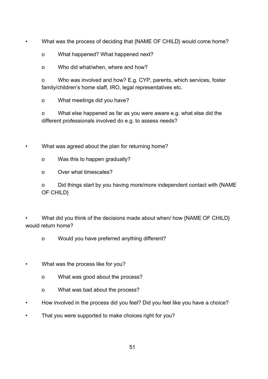• What was the process of deciding that {NAME OF CHILD} would come home?

o What happened? What happened next?

o Who did what/when, where and how?

o Who was involved and how? E.g. CYP, parents, which services, foster family/children's home staff, IRO, legal representatives etc.

o What meetings did you have?

o What else happened as far as you were aware e.g. what else did the different professionals involved do e.g. to assess needs?

• What was agreed about the plan for returning home?

o Was this to happen gradually?

o Over what timescales?

o Did things start by you having more/more independent contact with {NAME OF CHILD}

What did you think of the decisions made about when/ how {NAME OF CHILD} would return home?

o Would you have preferred anything different?

What was the process like for you?

o What was good about the process?

o What was bad about the process?

• How involved in the process did you feel? Did you feel like you have a choice?

That you were supported to make choices right for you?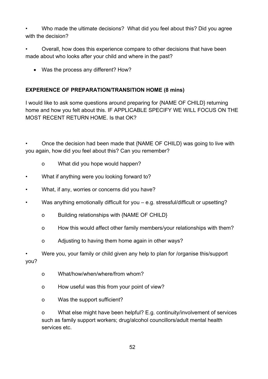• Who made the ultimate decisions? What did you feel about this? Did you agree with the decision?

• Overall, how does this experience compare to other decisions that have been made about who looks after your child and where in the past?

• Was the process any different? How?

#### **EXPERIENCE OF PREPARATION/TRANSITION HOME (8 mins)**

I would like to ask some questions around preparing for {NAME OF CHILD} returning home and how you felt about this. IF APPLICABLE SPECIFY WE WILL FOCUS ON THE MOST RECENT RETURN HOME. Is that OK?

• Once the decision had been made that {NAME OF CHILD} was going to live with you again, how did you feel about this? Can you remember?

- o What did you hope would happen?
- What if anything were you looking forward to?
- What, if any, worries or concerns did you have?
- Was anything emotionally difficult for you e.g. stressful/difficult or upsetting?
	- o Building relationships with {NAME OF CHILD}
	- o How this would affect other family members/your relationships with them?
	- o Adjusting to having them home again in other ways?

• Were you, your family or child given any help to plan for /organise this/support you?

- o What/how/when/where/from whom?
- o How useful was this from your point of view?
- o Was the support sufficient?

o What else might have been helpful? E.g. continuity/involvement of services such as family support workers; drug/alcohol councillors/adult mental health services etc.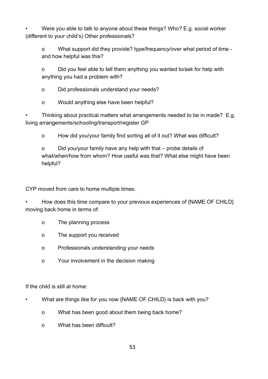• Were you able to talk to anyone about these things? Who? E.g. social worker (different to your child's) Other professionals?

o What support did they provide? type/frequency/over what period of time and how helpful was this?

o Did you feel able to tell them anything you wanted to/ask for help with anything you had a problem with?

o Did professionals understand your needs?

o Would anything else have been helpful?

• Thinking about practical matters what arrangements needed to be in made? E.g. living arrangements/schooling/transport/register GP

o How did you/your family find sorting all of it out? What was difficult?

o Did you/your family have any help with that – probe details of what/when/how from whom? How useful was that? What else might have been helpful?

CYP moved from care to home multiple times:

• How does this time compare to your previous experiences of {NAME OF CHILD} moving back home in terms of:

- o The planning process
- o The support you received
- o Professionals understanding your needs
- o Your involvement in the decision making

If the child is still at home:

- What are things like for you now {NAME OF CHILD} is back with you?
	- o What has been good about them being back home?
	- o What has been difficult?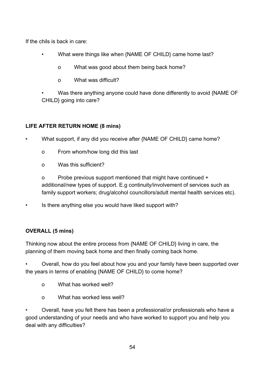If the chils is back in care:

- What were things like when {NAME OF CHILD} came home last?
	- o What was good about them being back home?
	- o What was difficult?
- Was there anything anyone could have done differently to avoid {NAME OF CHILD} going into care?

## **LIFE AFTER RETURN HOME (8 mins)**

• What support, if any did you receive after {NAME OF CHILD} came home?

- o From whom/how long did this last
- o Was this sufficient?

o Probe previous support mentioned that might have continued + additional/new types of support. E.g continuity/involvement of services such as family support workers; drug/alcohol councillors/adult mental health services etc).

• Is there anything else you would have liked support with?

# **OVERALL (5 mins)**

Thinking now about the entire process from {NAME OF CHILD} living in care, the planning of them moving back home and then finally coming back home.

• Overall, how do you feel about how you and your family have been supported over the years in terms of enabling {NAME OF CHILD} to come home?

- o What has worked well?
- o What has worked less well?

• Overall, have you felt there has been a professional/or professionals who have a good understanding of your needs and who have worked to support you and help you deal with any difficulties?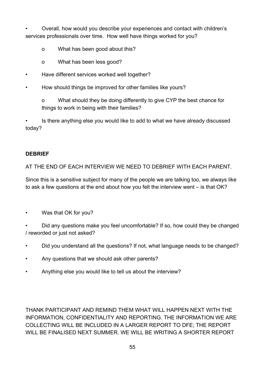• Overall, how would you describe your experiences and contact with children's services professionals over time. How well have things worked for you?

- o What has been good about this?
- o What has been less good?
- Have different services worked well together?
- How should things be improved for other families like yours?

o What should they be doing differently to give CYP the best chance for things to work in being with their families?

• Is there anything else you would like to add to what we have already discussed today?

#### **DEBRIEF**

AT THE END OF EACH INTERVIEW WE NEED TO DEBRIEF WITH EACH PARENT.

Since this is a sensitive subject for many of the people we are talking too, we always like to ask a few questions at the end about how you felt the interview went – is that OK?

- Was that OK for you?
- Did any questions make you feel uncomfortable? If so, how could they be changed / reworded or just not asked?
- Did you understand all the questions? If not, what language needs to be changed?
- Any questions that we should ask other parents?
- Anything else you would like to tell us about the interview?

THANK PARTICIPANT AND REMIND THEM WHAT WILL HAPPEN NEXT WITH THE INFORMATION, CONFIDENTIALITY AND REPORTING. THE INFORMATION WE ARE COLLECTING WILL BE INCLUDED IN A LARGER REPORT TO DFE; THE REPORT WILL BE FINALISED NEXT SUMMER. WE WILL BE WRITING A SHORTER REPORT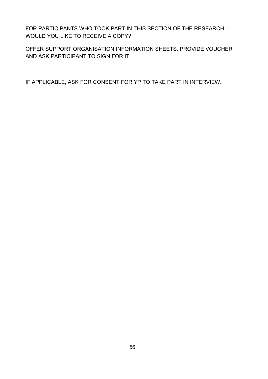FOR PARTICIPANTS WHO TOOK PART IN THIS SECTION OF THE RESEARCH – WOULD YOU LIKE TO RECEIVE A COPY?

OFFER SUPPORT ORGANISATION INFORMATION SHEETS. PROVIDE VOUCHER AND ASK PARTICIPANT TO SIGN FOR IT.

IF APPLICABLE, ASK FOR CONSENT FOR YP TO TAKE PART IN INTERVIEW.